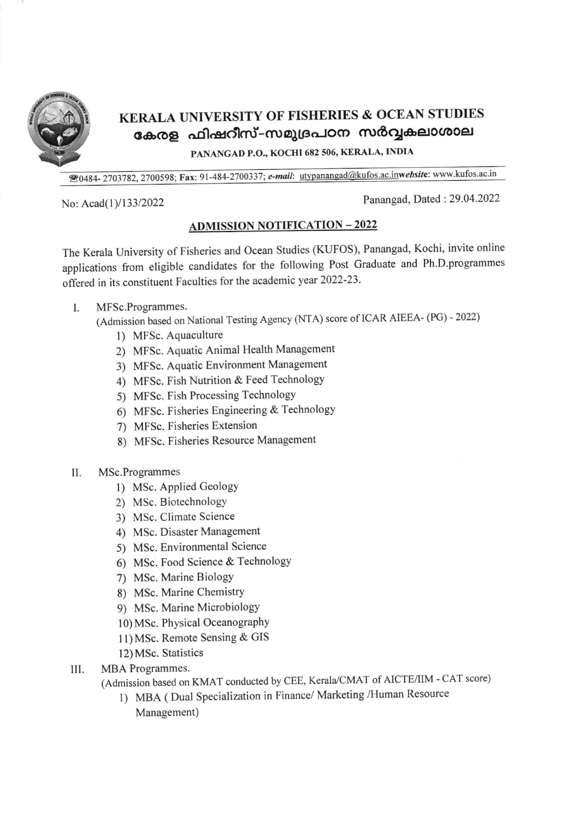

## KERALA UNIVERSITY OF FISHERIES & OCEAN STUDIES കേരള ഫിഷറീസ്-സമുദ്രപഠന സർവ്വകലാശാല

PANANGAD P.O., KOCHI 682 506, KERALA, INDIA

<sup>28</sup>0484-2703782, 2700598; Fax: 91-484-2700337; e-mail: utypanangad@kufos.ac.inwebsite: www.kufos.ac.in

No: Acad(1)/133/2022 Panangad, Dated : 29.04.2022

## ADMISSION NOTIFICATION - <sup>2022</sup>

The Kerala University of Fisheries and Ocean Studies (KUFOS), Panangad, Kochi, invite online applications from eligible candidates for the following Post Graduate and Ph.D.programmes offered in its constituent Faculties for the academic year 2022-23.

- I. MFSc.Programmes.
	- (Admission based on National Testing Agency (NTA) score of ICAR AIEEA- (PG) 2022)
		- l) MFSc. Aquaculture
		- 2) MFSc. Aquatic Animal Health Management
		- 3) MFSc. Aquatic Environment Management
		- 4) MFSc. Fish Nutrition & Feed Technology
		- 5) MFSc. Fish Processing Technology
		- 6) MFSc. Fisheries Engineering & Technology
		- 7) MFSc. Fisheries Extension
		- 8) MFSc. Fisheries Resource Management
- II. MSc.Programmes
	- 1) MSc. Applied Geology
	- 2) MSc. BiotechnologY
	- 3) MSc. Climate Science
	- 4) MSc. Disaster Management
	- 5) MSc. Environmental Science
	- 6) MSc. Food Science & TechnologY
	- 7) MSc. Marine BiologY
	- 8) MSc. Marine Chemistry
	- 9) MSc. Marine MicrobiologY
	- 10) MSc. Physical Oceanography
	- I 1) MSc. Remote Sensing & GIS
	- l2) MSc. Statistics
- MBA Programmes. ill
	- (Admission based on KMAT conducted by CEE, Kerala/CMAT of AICTE/IIM CAT score)
		- <sup>I</sup>) MBA ( Dual Specialization in Finance/ Marketing /Human Resource Management)